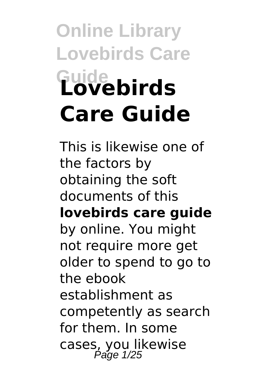# **Online Library Lovebirds Care Guide Lovebirds Care Guide**

This is likewise one of the factors by obtaining the soft documents of this **lovebirds care guide** by online. You might not require more get older to spend to go to the ebook establishment as competently as search for them. In some cases, you likewise Page 1/25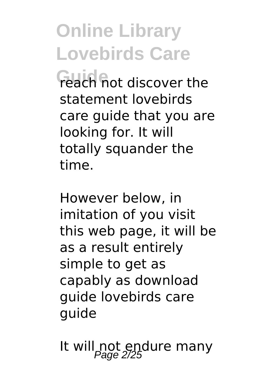**Guide Guide Reach** not discover the statement lovebirds care guide that you are looking for. It will totally squander the time.

However below, in imitation of you visit this web page, it will be as a result entirely simple to get as capably as download guide lovebirds care guide

It will not endure many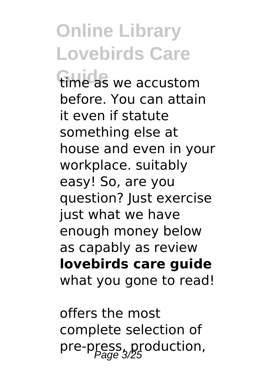**Guide** time as we accustom before. You can attain it even if statute something else at house and even in your workplace. suitably easy! So, are you question? Just exercise just what we have enough money below as capably as review **lovebirds care guide** what you gone to read!

offers the most complete selection of pre-press, production,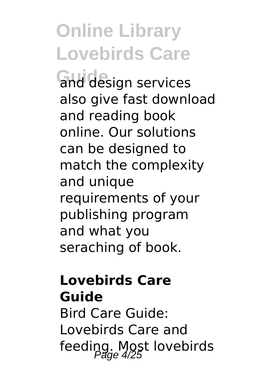**Guide** and design services also give fast download and reading book online. Our solutions can be designed to match the complexity and unique requirements of your publishing program and what you seraching of book.

#### **Lovebirds Care Guide**

Bird Care Guide: Lovebirds Care and feeding. Most lovebirds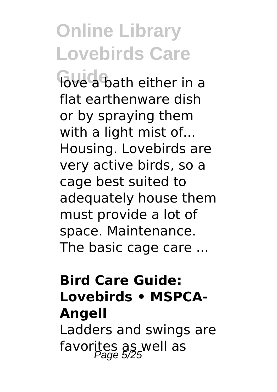**Guidea** bath either in a flat earthenware dish or by spraying them with a light mist of... Housing. Lovebirds are very active birds, so a cage best suited to adequately house them must provide a lot of space. Maintenance. The basic cage care ...

#### **Bird Care Guide: Lovebirds • MSPCA-Angell**

Ladders and swings are favorites as well as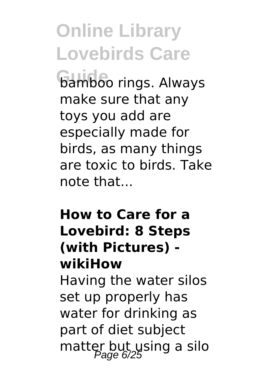**bamboo rings. Always** make sure that any toys you add are especially made for birds, as many things are toxic to birds. Take note that...

#### **How to Care for a Lovebird: 8 Steps (with Pictures) wikiHow**

Having the water silos set up properly has water for drinking as part of diet subject matter but using a silo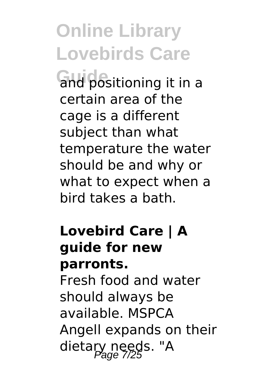**Guide** and positioning it in a certain area of the cage is a different subject than what temperature the water should be and why or what to expect when a bird takes a bath.

#### **Lovebird Care | A guide for new parronts.**

Fresh food and water should always be available. MSPCA Angell expands on their dietary needs. "A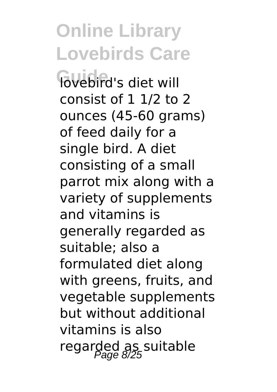**Online Library Lovebirds Care Govebird's diet will** consist of 1 1/2 to 2 ounces (45-60 grams) of feed daily for a single bird. A diet consisting of a small parrot mix along with a variety of supplements and vitamins is generally regarded as suitable; also a formulated diet along with greens, fruits, and vegetable supplements but without additional vitamins is also regarded as suitable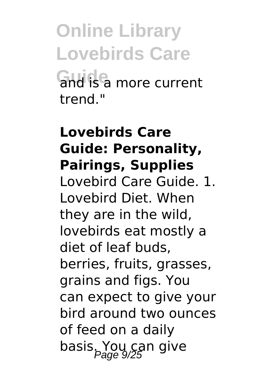**Online Library Lovebirds Care Guide** and is a more current trend."

#### **Lovebirds Care Guide: Personality, Pairings, Supplies**

Lovebird Care Guide. 1. Lovebird Diet. When they are in the wild, lovebirds eat mostly a diet of leaf buds, berries, fruits, grasses, grains and figs. You can expect to give your bird around two ounces of feed on a daily basis. You can give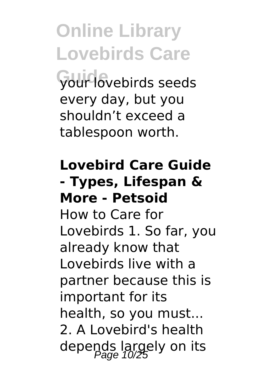**Online Library Lovebirds Care Guide** your lovebirds seeds every day, but you shouldn't exceed a tablespoon worth.

#### **Lovebird Care Guide - Types, Lifespan & More - Petsoid**

How to Care for Lovebirds 1. So far, you already know that Lovebirds live with a partner because this is important for its health, so you must... 2. A Lovebird's health depends largely on its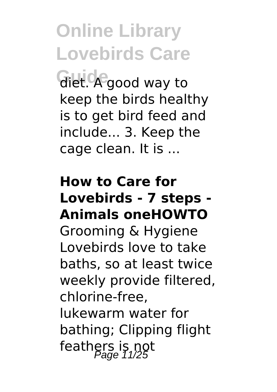**Guide** diet. A good way to keep the birds healthy is to get bird feed and include... 3. Keep the cage clean. It is ...

#### **How to Care for Lovebirds - 7 steps - Animals oneHOWTO**

Grooming & Hygiene Lovebirds love to take baths, so at least twice weekly provide filtered, chlorine-free, lukewarm water for bathing; Clipping flight feathers is not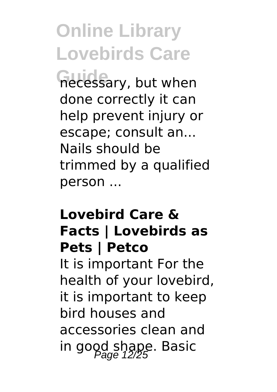**Guide** necessary, but when done correctly it can help prevent injury or escape; consult an... Nails should be trimmed by a qualified person ...

#### **Lovebird Care & Facts | Lovebirds as Pets | Petco**

It is important For the health of your lovebird, it is important to keep bird houses and accessories clean and in good shape. Basic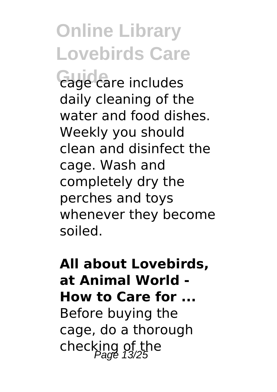**Guide** cage care includes daily cleaning of the water and food dishes. Weekly you should clean and disinfect the cage. Wash and completely dry the perches and toys whenever they become soiled.

**All about Lovebirds, at Animal World - How to Care for ...** Before buying the cage, do a thorough checking of the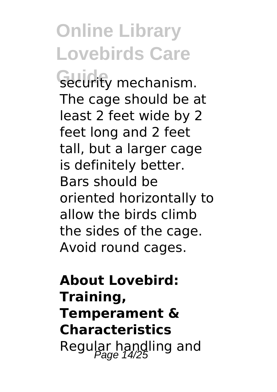security mechanism. The cage should be at least 2 feet wide by 2 feet long and 2 feet tall, but a larger cage is definitely better. Bars should be oriented horizontally to allow the birds climb the sides of the cage. Avoid round cages.

**About Lovebird: Training, Temperament & Characteristics** Regular handling and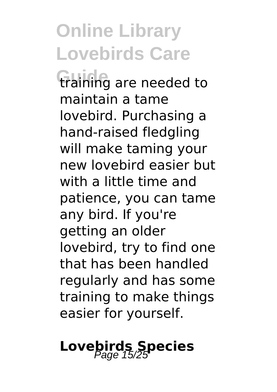**Guide** training are needed to maintain a tame lovebird. Purchasing a hand-raised fledgling will make taming your new lovebird easier but with a little time and patience, you can tame any bird. If you're getting an older lovebird, try to find one that has been handled regularly and has some training to make things easier for yourself.

# **Lovebirds Species**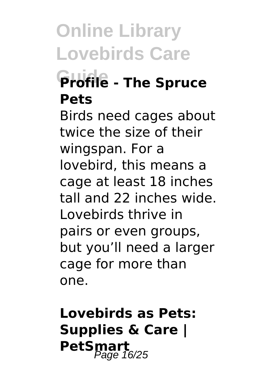### **Guide Profile - The Spruce Pets**

Birds need cages about twice the size of their wingspan. For a lovebird, this means a cage at least 18 inches tall and 22 inches wide. Lovebirds thrive in pairs or even groups, but you'll need a larger cage for more than one.

### **Lovebirds as Pets: Supplies & Care | PetSmart**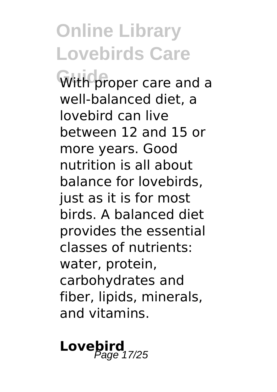With proper care and a well-balanced diet, a lovebird can live between 12 and 15 or more years. Good nutrition is all about balance for lovebirds, just as it is for most birds. A balanced diet provides the essential classes of nutrients: water, protein, carbohydrates and fiber, lipids, minerals, and vitamins.

**Lovebird** 17/25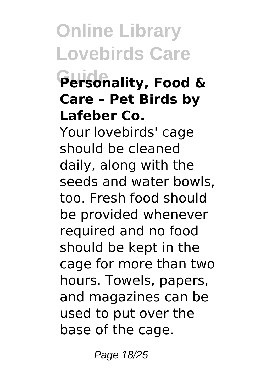### **Guide Personality, Food & Care – Pet Birds by Lafeber Co.**

Your lovebirds' cage should be cleaned daily, along with the seeds and water bowls, too. Fresh food should be provided whenever required and no food should be kept in the cage for more than two hours. Towels, papers, and magazines can be used to put over the base of the cage.

Page 18/25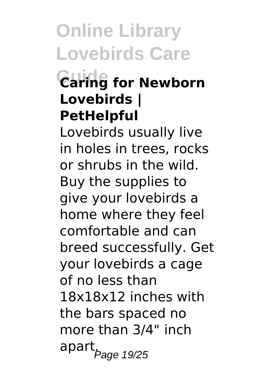### **Guide Caring for Newborn Lovebirds | PetHelpful**

Lovebirds usually live in holes in trees, rocks or shrubs in the wild. Buy the supplies to give your lovebirds a home where they feel comfortable and can breed successfully. Get your lovebirds a cage of no less than 18x18x12 inches with the bars spaced no more than 3/4" inch apart<sub>.Page 19/25</sub>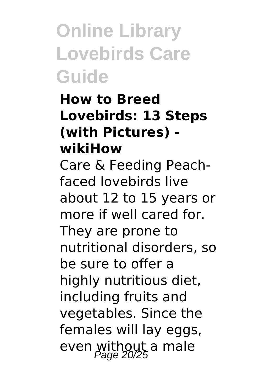#### **How to Breed Lovebirds: 13 Steps (with Pictures) wikiHow**

Care & Feeding Peachfaced lovebirds live about 12 to 15 years or more if well cared for. They are prone to nutritional disorders, so be sure to offer a highly nutritious diet, including fruits and vegetables. Since the females will lay eggs, even without a male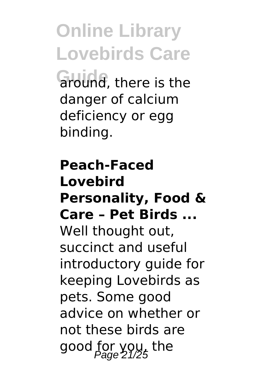**Online Library Lovebirds Care Guide** around, there is the danger of calcium deficiency or egg binding.

#### **Peach-Faced Lovebird Personality, Food & Care – Pet Birds ...** Well thought out, succinct and useful introductory guide for keeping Lovebirds as pets. Some good advice on whether or not these birds are good for you, the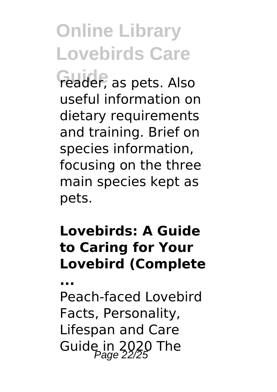reader, as pets. Also useful information on dietary requirements and training. Brief on species information, focusing on the three main species kept as pets.

#### **Lovebirds: A Guide to Caring for Your Lovebird (Complete**

**...**

Peach-faced Lovebird Facts, Personality, Lifespan and Care Guide in  $2020$  The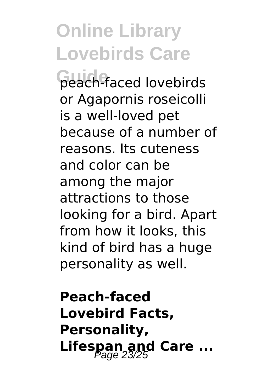**Guide** peach-faced lovebirds or Agapornis roseicolli is a well-loved pet because of a number of reasons. Its cuteness and color can be among the major attractions to those looking for a bird. Apart from how it looks, this kind of bird has a huge personality as well.

**Peach-faced Lovebird Facts, Personality,** Lifespan and Care ...